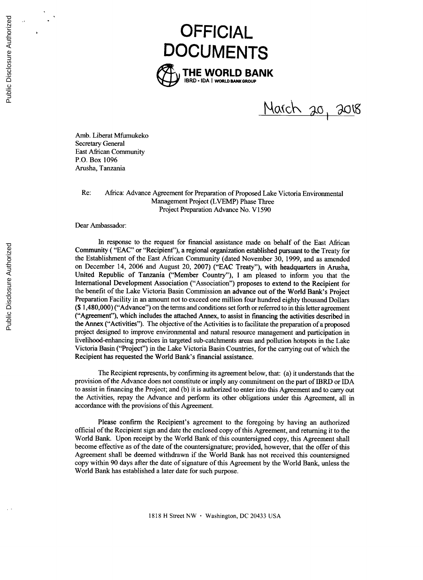

Narch 20, 2018

Amb. Liberat Mfumukeko Secretary General East African Community P.O. Box **1096** Arusha, Tanzania

Re: Africa: Advance Agreement for Preparation of Proposed Lake Victoria Environmental Management Project (LVEMP) Phase Three Project Preparation Advance No. **V1590**

Dear Ambassador:

In response to the request for financial assistance made on behalf of the East African Community **( "EAC"** or "Recipient"), a regional organization established pursuant to the Treaty for the Establishment of the East African Community (dated November **30, 1999,** and as amended on December 14, **2006** and August 20, **2007) ("EAC** Treaty"), with headquarters in Arusha, United Republic of Tanzania ("Member Country"), **I** am pleased to inform you that the International Development Association ("Association") proposes to extend to the Recipient for the benefit of the Lake Victoria Basin Commission an advance out of the World Bank's Project Preparation Facility in an amount not to exceed one million four hundred eighty thousand Dollars **(\$** 1,480,000) ("Advance") on the terms and conditions set forth or referred to in this letter agreement ("Agreement"), which includes the attached Annex, to assist in financing the activities described in the Annex ("Activities"). The objective of the Activities is to facilitate the preparation of a proposed project designed to improve environmental and natural resource management and participation in livelihood-enhancing practices in targeted sub-catchments areas and pollution hotspots in the Lake Victoria Basin ("Project") in the Lake Victoria Basin Countries, for the carrying out of which the Recipient has requested the World Bank's financial assistance.

The Recipient represents, **by** confirming its agreement below, that: (a) it understands that the provision of the Advance does not constitute or imply any commitment on the part of IBRD or IDA to assist in financing the Project; and **(b)** it is authorized to enter into this Agreement and to carry out the Activities, repay the Advance and perform its other obligations under this Agreement, all in accordance with the provisions of this Agreement.

Please confirm the Recipient's agreement to the foregoing **by** having an authorized official of the Recipient sign and date the enclosed copy of this Agreement, and returning it to the World Bank. Upon receipt **by** the World Bank of this countersigned copy, this Agreement shall become effective as of the date of the countersignature; provided, however, that the offer of this Agreement shall be deemed withdrawn if the World Bank has not received this countersigned copy within **90** days after the date of signature of this Agreement **by** the World Bank, unless the World Bank has established a later date for such purpose.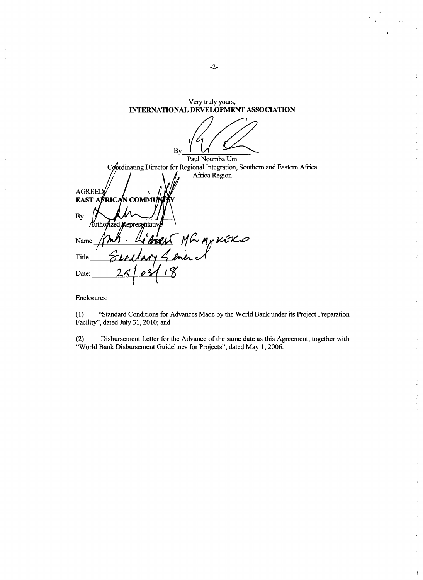| Very truly yours,<br><b>INTERNATIONAL DEVELOPMENT ASSOCIATION</b>                             |
|-----------------------------------------------------------------------------------------------|
| By                                                                                            |
| Paul Noumba Um                                                                                |
| Coordinating Director for Regional Integration, Southern and Eastern Africa                   |
| Africa Region<br><b>AGREED</b><br>EAST AFRICAN COMMU<br><b>By</b><br>Authorized Representativ |
| BERNS MG MY KEKO<br>Name                                                                      |
| Title                                                                                         |
| 2 <sub>6</sub><br>Date:                                                                       |

Enclosures:

÷,

**(1)** "Standard Conditions for Advances Made **by** the World Bank under its Project Preparation Facility", dated July **31, 2010;** and

(2) Disbursement Letter for the Advance of the same date as this Agreement, together with "World Bank Disbursement Guidelines for Projects", dated May **1, 2006.**

-2-

 $\frac{1}{\sqrt{2}}\sum_{i=1}^{N} \frac{1}{i} \left( \frac{1}{\sqrt{2}} \right)^{2} \left( \frac{1}{\sqrt{2}} \right)^{2} \left( \frac{1}{\sqrt{2}} \right)^{2} \left( \frac{1}{\sqrt{2}} \right)^{2} \left( \frac{1}{\sqrt{2}} \right)^{2} \left( \frac{1}{\sqrt{2}} \right)^{2} \left( \frac{1}{\sqrt{2}} \right)^{2} \left( \frac{1}{\sqrt{2}} \right)^{2} \left( \frac{1}{\sqrt{2}} \right)^{2} \left( \frac{1}{\sqrt{2}} \right)^{2} \left($ 

 $\frac{1}{2}$ 

 $\frac{d}{2}$ 

 $\frac{1}{2}$  $\frac{1}{2}$ l.

 $\overline{1}$ 

 $\frac{1}{\epsilon}$ 

 $\overline{\mathcal{L}}$ 

 $\frac{1}{2}$ 

 $\frac{1}{2}$  $\mathcal{L}$ 

 $\frac{1}{2}$  $\mathfrak{c}$ 

 $\epsilon$ 

 $\mathbf i$ 

 $\tilde{\xi}$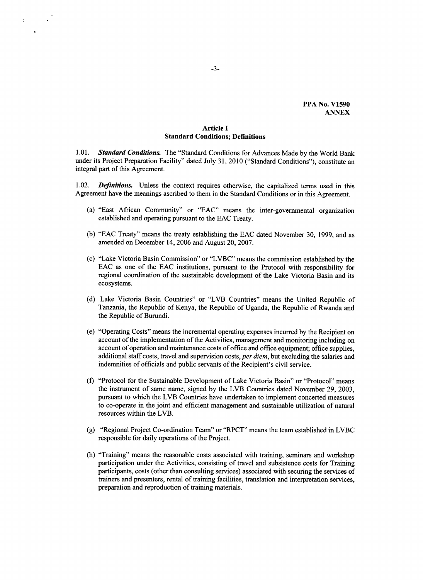# **Article I Standard Conditions; Definitions**

*1.01. Standard Conditions.* The "Standard Conditions for Advances Made **by** the World Bank under its Project Preparation Facility" dated July **31,** 2010 ("Standard Conditions"), constitute an integral part of this Agreement.

1.02. *Definitions.* Unless the context requires otherwise, the capitalized terms used in this Agreement have the meanings ascribed to them in the Standard Conditions or in this Agreement.

- (a) "East African Community" or **"EAC"** means the inter-governmental organization established and operating pursuant to the **EAC** Treaty.
- **(b) "EAC** Treaty" means the treaty establishing the **EAC** dated November **30, 1999,** and as amended on December 14, **2006** and August 20, **2007.**
- (c) "Lake Victoria Basin Commission" or "LVBC" means the commission established **by** the **EAC** as one of the **EAC** institutions, pursuant to the Protocol with responsibility for regional coordination of the sustainable development of the Lake Victoria Basin and its ecosystems.
- **(d)** Lake Victoria Basin Countries" or "LVB Countries" means the United Republic of Tanzania, the Republic of Kenya, the Republic of Uganda, the Republic of Rwanda and the Republic of Burundi.
- (e) "Operating Costs" means the incremental operating expenses incurred **by** the Recipient on account of the implementation of the Activities, management and monitoring including on account of operation and maintenance costs of office and office equipment; office supplies, additional staff costs, travel and supervision costs, *per diem,* but excluding the salaries and indemnities of officials and public servants of the Recipient's civil service.
- **(f)** "Protocol for the Sustainable Development of Lake Victoria Basin" or "Protocol" means the instrument of same name, signed **by** the LVB Countries dated November **29, 2003,** pursuant to which the LVB Countries have undertaken to implement concerted measures to co-operate in the joint and efficient management and sustainable utilization of natural resources within the LVB.
- **(g)** "Regional Project Co-ordination Team" or "RPCT" means the team established in LVBC responsible for daily operations of the Project.
- (h) "Training" means the reasonable costs associated with training, seminars and workshop participation under the Activities, consisting of travel and subsistence costs for Training participants, costs (other than consulting services) associated with securing the services of trainers and presenters, rental of training facilities, translation and interpretation services, preparation and reproduction of training materials.

 $\frac{1}{2}$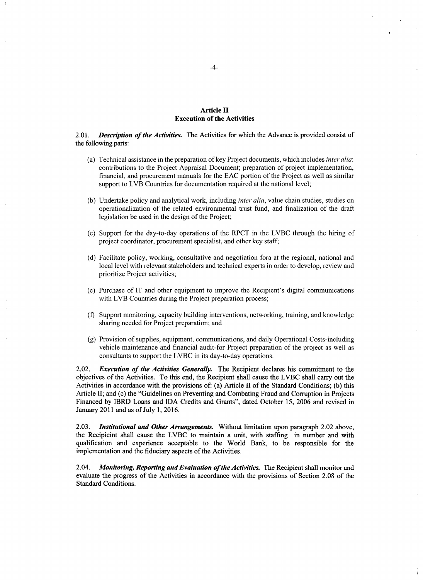## **Article II Execution of the Activities**

2.01. *Description of the Activities.* The Activities for which the Advance is provided consist of the following parts:

- (a) Technical assistance in the preparation of key Project documents, which includes *inter alia:* contributions to the Project Appraisal Document; preparation of project implementation, financial, and procurement manuals for the **EAC** portion of the Project as well as similar support to LVB Countries for documentation required at the national level;
- **(b)** Undertake policy and analytical work, including *inter alia,* value chain studies, studies on operationalization of the related environmental trust fund, and finalization of the draft legislation be used in the design of the Project;
- (c) Support for the day-to-day operations of the RPCT in the LVBC through the hiring of project coordinator, procurement specialist, and other key staff;
- **(d)** Facilitate policy, working, consultative and negotiation fora at the regional, national and local level with relevant stakeholders and technical experts in order to develop, review and prioritize Project activities;
- (e) Purchase of IT and other equipment to improve the Recipient's digital communications with LVB Countries during the Project preparation process;
- **(f)** Support monitoring, capacity building interventions, networking, training, and knowledge sharing needed for Project preparation; and
- **(g)** Provision of supplies, equipment, communications, and daily Operational Costs-including vehicle maintenance and financial audit-for Project preparation of the project as well as consultants to support the LVBC in its day-to-day operations.

2.02. *Execution of the Activities Generally.* The Recipient declares his commitment to the objectives of the Activities. To this end, the Recipient shall cause the LVBC shall carry out the Activities in accordance with the provisions of: (a) Article II of the Standard Conditions; **(b)** this Article II; and (c) the "Guidelines on Preventing and Combating Fraud and Corruption in Projects Financed **by** IBRD Loans and **IDA** Credits and Grants", dated October *15,* **2006** and revised in January 2011 and as of July **1, 2016.**

**2.03.** *Institutional and Other Arrangements.* Without limitation upon paragraph 2.02 above, the Recipieint shall cause the LVBC to maintain a unit, with staffing in number and with qualification and experience acceptable to the World Bank, to be responsible for the implementation and the fiduciary aspects of the Activities.

2.04. *Monitoring, Reporting and Evaluation of the Activities.* The Recipient shall monitor and evaluate the progress of the Activities in accordance with the provisions of Section **2.08** of the Standard Conditions.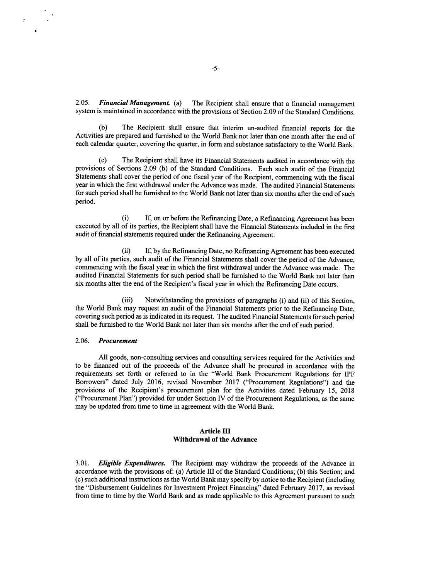*2.05. Financial Management (a)* The Recipient shall ensure that a financial management system is maintained in accordance with the provisions of Section **2.09** of the Standard Conditions.

**(b)** The Recipient shall ensure that interim un-audited financial reports for the Activities are prepared and furnished to the World Bank not later than one month after the end of each calendar quarter, covering the quarter, in form and substance satisfactory to the World Bank.

**(c)** The Recipient shall have its Financial Statements audited in accordance with the provisions of Sections **2.09 (b)** of the Standard Conditions. Each such audit of the Financial Statements shall cover the period of one fiscal year of the Recipient, commencing with the fiscal year in which the first withdrawal under the Advance was made. The audited Financial Statements for such period shall be furnished to the World Bank not later than six months after the end of such period.

(i) **If,** on or before the Refinancing Date, a Refinancing Agreement has been executed **by** all of its parties, the Recipient shall have the Financial Statements included in the first audit of financial statements required under the Refinancing Agreement.

(ii) **If, by** the Refinancing Date, no Refinancing Agreement has been executed **by** all of its parties, such audit of the Financial Statements shall cover the period of the Advance, commencing with the fiscal year in which the first withdrawal under the Advance was made. The audited Financial Statements for such period shall be furnished to the World Bank not later than six months after the end of the Recipient's fiscal year in which the Refinancing Date occurs.

(iii) Notwithstanding the provisions of paragraphs (i) and (ii) of this Section, the World Bank may request an audit of the Financial Statements prior to the Refinancing Date, covering such period as is indicated in its request. The audited Financial Statements for such period shall be furnished to the World Bank not later than six months after the end of such period.

#### *2.06. Procurement*

**All** goods, non-consulting services and consulting services required for the Activities and to be financed out of the proceeds of the Advance shall be procured in accordance with the requirements set forth or referred to in the "World Bank Procurement Regulations for IPF Borrowers" dated July **2016,** revised November **2017** ("Procurement Regulations") and the provisions of the Recipient's procurement plan for the Activities dated February *15,* **2018** ("Procurement Plan") provided for under Section IV of the Procurement Regulations, as the same may be updated from time to time in agreement with the World Bank.

#### **Article III Withdrawal of the Advance**

*3.01. Eligible Expenditures.* The Recipient may withdraw the proceeds of the Advance in accordance with the provisions of: (a) Article III of the Standard Conditions; **(b)** this Section; and (c) such additional instructions as the World Bank may specify **by** notice to the Recipient (including the "Disbursement Guidelines for Investment Project Financing" dated February **2017,** as revised from time to time **by** the World Bank and as made applicable to this Agreement pursuant to such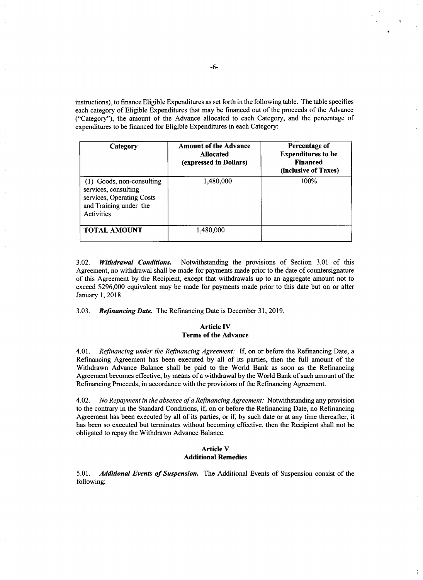instructions), to finance Eligible Expenditures as set forth in the following table. The table specifies each category of Eligible Expenditures that may be financed out of the proceeds of the Advance ("Category"), the amount of the Advance allocated to each Category, and the percentage of expenditures to be financed for Eligible Expenditures in each Category:

| Category                                                                                                               | <b>Amount of the Advance</b><br><b>Allocated</b><br>(expressed in Dollars) | Percentage of<br><b>Expenditures to be</b><br><b>Financed</b><br>(inclusive of Taxes) |
|------------------------------------------------------------------------------------------------------------------------|----------------------------------------------------------------------------|---------------------------------------------------------------------------------------|
| (1) Goods, non-consulting<br>services, consulting<br>services, Operating Costs<br>and Training under the<br>Activities | 1,480,000                                                                  | 100%                                                                                  |
| <b>TOTAL AMOUNT</b>                                                                                                    | 1,480,000                                                                  |                                                                                       |

**3.02.** *Withdrawal Conditions.* Notwithstanding the provisions of Section **3.01** of this Agreement, no withdrawal shall be made for payments made prior to the date of countersignature of this Agreement **by** the Recipient, except that withdrawals up to an aggregate amount not to exceed **\$296,000** equivalent may be made for payments made prior to this date but on or after January **1, 2018**

*3.03. Refinancing Date.* The Refinancing Date is December **31, 2019.**

## **Article IV Terms of the Advance**

4.01. *Refinancing under the Refinancing Agreement:* **If, on or before the** Refinancing Date, a Refinancing Agreement has been executed **by** all of its parties, then the full amount of the Withdrawn Advance Balance shall be paid to the World Bank as soon as the Refinancing Agreement becomes effective, **by** means of a withdrawal **by** the World Bank of such amount of the Refinancing Proceeds, in accordance with the provisions of the Refinancing Agreement.

4.02. *No Repayment in the absence ofa Refinancing Agreement:* Notwithstanding any provision to the contrary in the Standard Conditions, if, on or before the Refinancing Date, no Refinancing Agreement has been executed **by** all of its parties, or if, **by** such date or at any time thereafter, it has been so executed but terminates without becoming effective, then the Recipient shall not be obligated to repay the Withdrawn Advance Balance.

#### **Article V Additional Remedies**

*5.01. Additional Events of Suspension.* The Additional Events of Suspension consist of the following: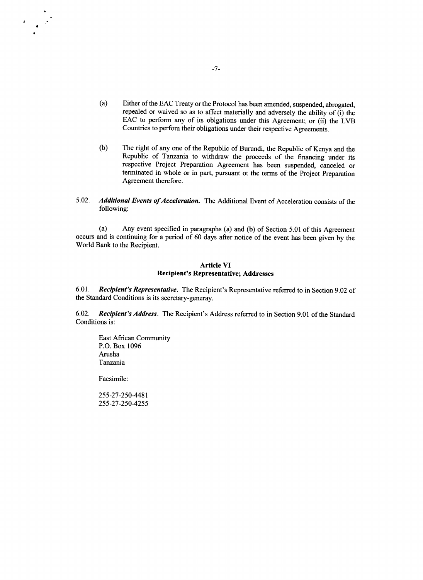- (a) Either of the **EAC** Treaty or the Protocol has been amended, suspended, abrogated, repealed or waived so as to affect materially and adversely the ability of (i) the **EAC** to perform any of its oblgations under this Agreement; or (ii) the LVB Countries to perfom their obligations under their respective Agreements.
- **(b)** The right of any one of the Republic of Burundi, the Republic of Kenya and the Republic of Tanzania to withdraw the proceeds of the financing under its respective Project Preparation Agreement has been suspended, canceled or terminated in whole or in part, pursuant ot the terms of the Project Preparation Agreement therefore.
- *5.02. Additional Events of Acceleration.* The Additional Event of Acceleration consists of the following:

(a) Any event specified in paragraphs (a) and **(b)** of Section **5.01** of this Agreement occurs and is continuing for a period of **60** days after notice of the event has been given **by** the World Bank to the Recipient.

## Article **VI** Recipient's Representative; Addresses

**6.01.** *Recipient's Representative.* The Recipient's Representative referred to in Section **9.02** of the Standard Conditions is its secretary-generay.

**6.02.** *Recipient's Address.* The Recipient's Address referred to in Section **9.01** of the Standard Conditions is:

East African Community **P.O.** Box **1096** Arusha Tanzania

Facsimile:

**255-27-250-4481 255-27-250-4255**